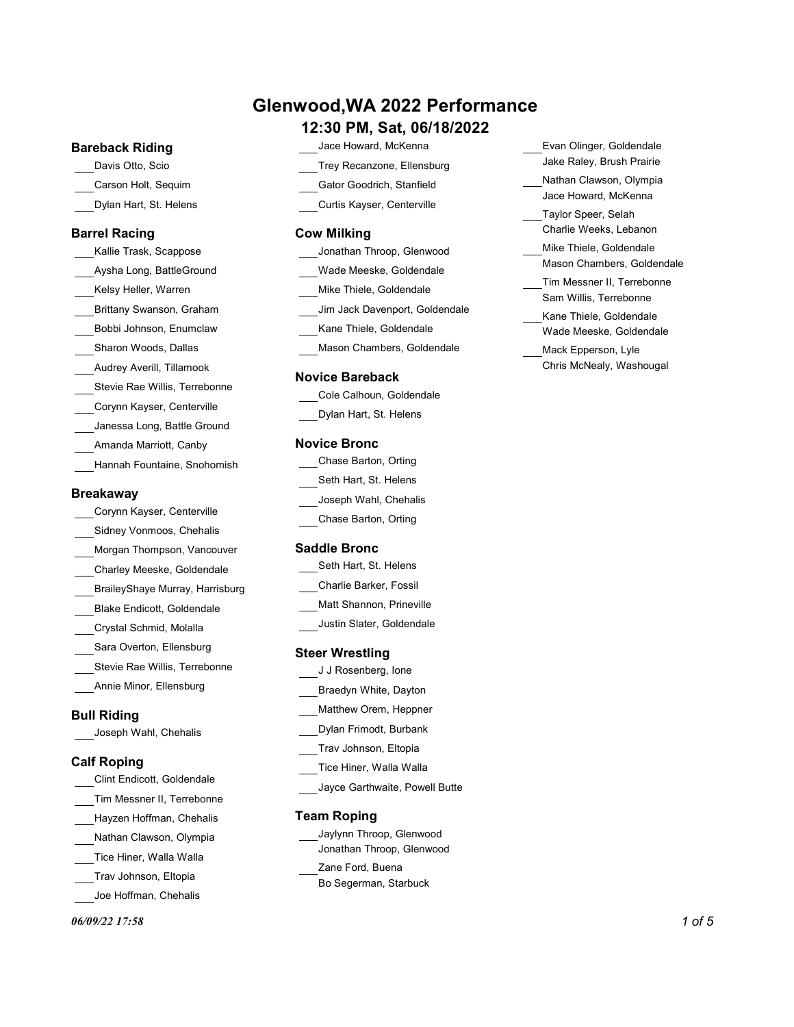### Glenwood,WA 2022 Performance

### Bareback Riding

- Davis Otto, Scio Trey Recanzone, Ellensburg
- Dylan Hart, St. Helens

### Barrel Racing

Aysha Long, BattleGround Bobbi Johnson, Enumclaw Sharon Woods, Dallas Audrey Averill, Tillamook Stevie Rae Willis, Terrebonne Corynn Kayser, Centerville Janessa Long, Battle Ground Amanda Marriott, Canby Hannah Fountaine, Snohomish

### Breakaway

Corynn Kayser, Centerville Sidney Vonmoos, Chehalis Morgan Thompson, Vancouver Charley Meeske, Goldendale BraileyShaye Murray, Harrisburg Blake Endicott, Goldendale Crystal Schmid, Molalla Sara Overton, Ellensburg Stevie Rae Willis, Terrebonne Annie Minor, Ellensburg

### Bull Riding

Joseph Wahl, Chehalis

Clint Endicott, Goldendale Tim Messner II, Terrebonne Hayzen Hoffman, Chehalis Nathan Clawson, Olympia Tice Hiner, Walla Walla Trav Johnson, Eltopia Joe Hoffman, Chehalis

#### $06/09/22$  17:58 1 of 5

- 12:30 PM, Sat, 06/18/2022
	- Jace Howard, McKenna
- 
- 
- Curtis Kayser, Centerville

### Cow Milking

- Kelsy Heller, Warren Mike Thiele, Goldendale Brittany Swanson, Graham Jim Jack Davenport, Goldendale Wade Meeske, Goldendale Kane Thiele, Goldendale
	- Mason Chambers, Goldendale

### Novice Bareback

| Cole Calhoun, Goldendale |  |
|--------------------------|--|
| Dylan Hart, St. Helens   |  |

### Novice Bronc

| Chase Barton, Orting  |  |
|-----------------------|--|
| Seth Hart, St. Helens |  |
| Joseph Wahl, Chehalis |  |
| Chase Barton, Orting  |  |

### Saddle Bronc

| Seth Hart, St. Helens  |  |
|------------------------|--|
| Charlie Barker, Fossil |  |

- Matt Shannon, Prineville
- Justin Slater, Goldendale

### Steer Wrestling

| J J Rosenberg, Ione    |  |
|------------------------|--|
| Braedyn White, Dayton  |  |
| Matthew Orem, Heppner  |  |
| Dylan Frimodt, Burbank |  |

- Trav Johnson, Eltopia
- **Calf Roping** Equation of Transfer Transfer Transfer Transfer Transfer Transfer Transfer Transfer Transfer Transfer Transfer Transfer Transfer Transfer Transfer Transfer Transfer Transfer Transfer Transfer Transfer Transfe
	- Jayce Garthwaite, Powell Butte

### Team Roping

Jaylynn Throop, Glenwood Jonathan Throop, Glenwood Zane Ford, Buena Bo Segerman, Starbuck

- Evan Olinger, Goldendale Jake Raley, Brush Prairie
- Carson Holt, Sequim Gator Goodrich, Stanfield Nathan Clawson, Olympia Jace Howard, McKenna
	- Taylor Speer, Selah Charlie Weeks, Lebanon
- Kallie Trask, Scappose Jonathan Throop, Glenwood Mike Thiele, Goldendale Mason Chambers, Goldendale
	- Tim Messner II, Terrebonne Sam Willis, Terrebonne Kane Thiele, Goldendale
	- Wade Meeske, Goldendale
	- Mack Epperson, Lyle Chris McNealy, Washougal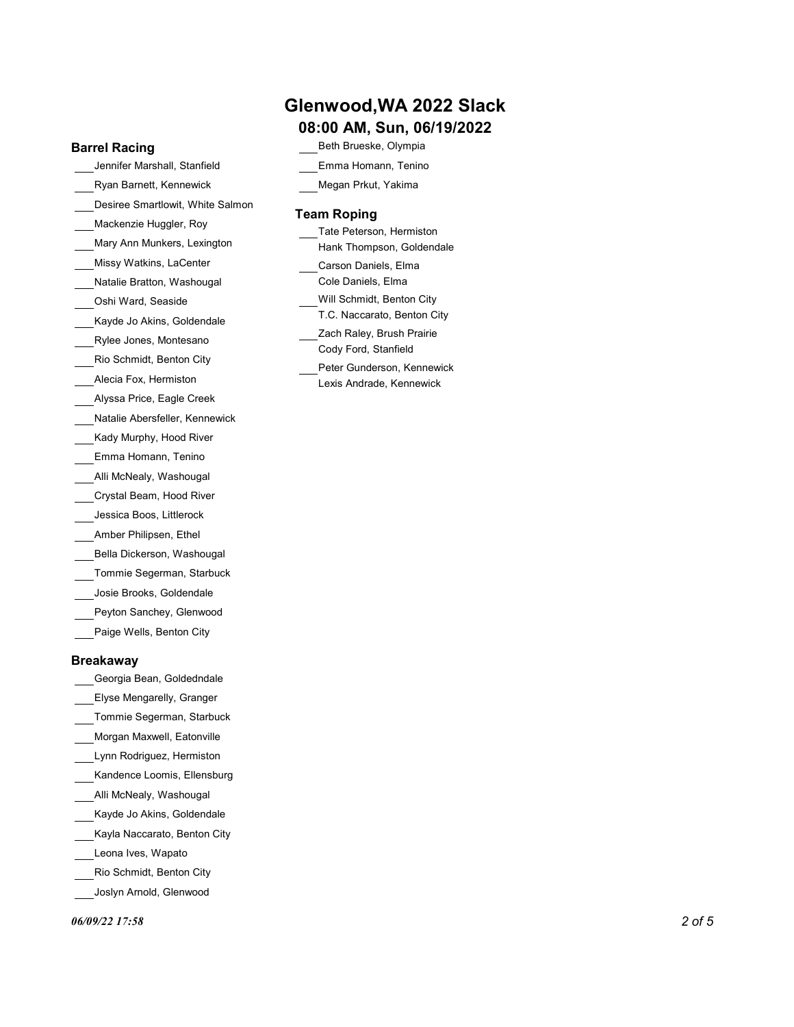### Barrel Racing

Jennifer Marshall, Stanfield Ryan Barnett, Kennewick Desiree Smartlowit, White Salmon Mackenzie Huggler, Roy Missy Watkins, LaCenter Natalie Bratton, Washougal Oshi Ward, Seaside Kayde Jo Akins, Goldendale Rylee Jones, Montesano Rio Schmidt, Benton City Alecia Fox, Hermiston Alyssa Price, Eagle Creek Natalie Abersfeller, Kennewick Kady Murphy, Hood River Emma Homann, Tenino Alli McNealy, Washougal Crystal Beam, Hood River Jessica Boos, Littlerock Amber Philipsen, Ethel Bella Dickerson, Washougal Tommie Segerman, Starbuck Josie Brooks, Goldendale Peyton Sanchey, Glenwood

Paige Wells, Benton City

### Breakaway

- Georgia Bean, Goldedndale Elyse Mengarelly, Granger
- Tommie Segerman, Starbuck
- Morgan Maxwell, Eatonville
- Lynn Rodriguez, Hermiston
- Kandence Loomis, Ellensburg
- Alli McNealy, Washougal
- Kayde Jo Akins, Goldendale
- Kayla Naccarato, Benton City
- Leona Ives, Wapato
- Rio Schmidt, Benton City
- Joslyn Arnold, Glenwood

# Glenwood,WA 2022 Slack

## 08:00 AM, Sun, 06/19/2022

- Beth Brueske, Olympia
- Emma Homann, Tenino
- Megan Prkut, Yakima

### Team Roping

|                             | Tate Peterson, Hermiston    |
|-----------------------------|-----------------------------|
| Mary Ann Munkers, Lexington | Hank Thompson, Goldendale   |
| Missy Watkins, LaCenter     | Carson Daniels, Elma        |
| Natalie Bratton, Washougal  | Cole Daniels, Elma          |
| Oshi Ward, Seaside          | Will Schmidt, Benton City   |
| Kayde Jo Akins, Goldendale  | T.C. Naccarato, Benton City |
| Rylee Jones, Montesano      | Zach Raley, Brush Prairie   |
|                             | Cody Ford, Stanfield        |
| Rio Schmidt, Benton City    | Peter Gunderson, Kennewick  |
| Alecia Fox, Hermiston       | Lexis Andrade, Kennewick    |